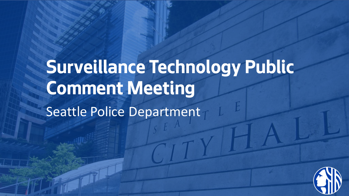# **Surveillance Technology Public Comment Meeting**  Seattle Police Department

Department Name Page Number

**6/24/2021 Seattle Information Technology Slide 1**

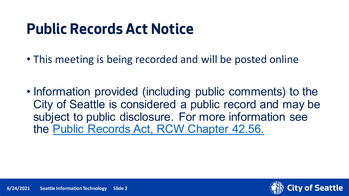### **Public Records Act Notice**

- This meeting is being recorded and will be posted online
- Information provided (including public comments) to the City of Seattle is considered a public record and may be subject to public disclosure. For more information see the [Public Records Act, RCW Chapter 42.56.](https://apps.leg.wa.gov/rcw/default.aspx?cite=42.56)

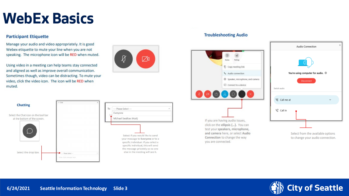### **WebEx Basics**

#### **Participant Etiquette**

Manage your audio and video appropriately. It is good Webex etiquette to mute your line when you are not speaking. The microphone icon will be RED when muted.

Using video in a meeting can help teams stay connected and aligned as well as improve overall communication. Sometimes though, video can be distracting. To mute your video, click the video icon. The icon will be RED when muted.



Ø

₥

#### **Troubleshooting Audio**



test your speakers, microphone, and camera here, or select Audio Connection to change the way you are connected.



to change your audio connection.

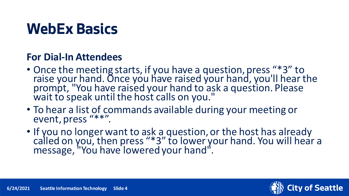### **WebEx Basics**

#### **For Dial-In Attendees**

- Once the meeting starts, if you have a question, press "\*3" to raise your hand. Once you have raised your hand, you'll hear the prompt, "You have raised your hand to ask a question. Please wait to speak until the host calls on you."
- To hear a list of commands available during your meeting or event, press "\*\*".
- If you no longer want to ask a question, or the host has already called on you, then press "\*3" to lower your hand. You will hear a message, "You have lowered your hand".

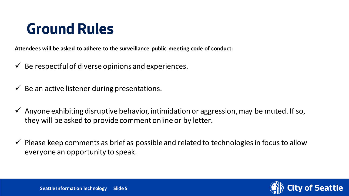### **Ground Rules**

**Attendees will be asked to adhere to the surveillance public meeting code of conduct:**

- $\checkmark$  Be respectful of diverse opinions and experiences.
- $\checkmark$  Be an active listener during presentations.
- $\checkmark$  Anyone exhibiting disruptive behavior, intimidation or aggression, may be muted. If so, they will be asked to provide comment online or by letter.
- $\checkmark$  Please keep comments as brief as possible and related to technologies in focus to allow everyone an opportunity to speak.

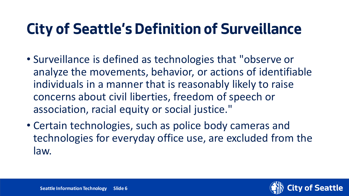### **City of Seattle's Definition of Surveillance**

- Surveillance is defined as technologies that "observe or analyze the movements, behavior, or actions of identifiable individuals in a manner that is reasonably likely to raise concerns about civil liberties, freedom of speech or association, racial equity or social justice."
- Certain technologies, such as police body cameras and technologies for everyday office use, are excluded from the law.

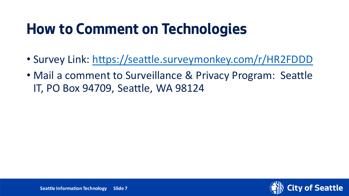### **How to Comment on Technologies**

- Survey Link:<https://seattle.surveymonkey.com/r/HR2FDDD>
- Mail a comment to Surveillance & Privacy Program: Seattle IT, PO Box 94709, Seattle, WA 98124

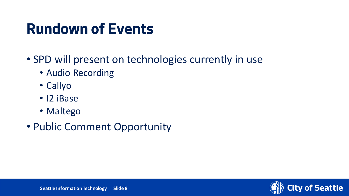### **Rundown of Events**

- SPD will present on technologies currently in use
	- Audio Recording
	- Callyo
	- I2 iBase
	- Maltego
- Public Comment Opportunity

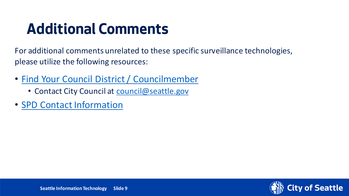### **Additional Comments**

For additional comments unrelated to these specific surveillance technologies, please utilize the following resources:

- [Find Your Council District / Councilmember](https://www.seattle.gov/council/meet-the-council/find-your-district-and-councilmembers)
	- Contact City Council at [council@seattle.gov](mailto:council@seattle.gov)
- [SPD Contact Information](http://www.seattle.gov/police/about-us/contact-us)

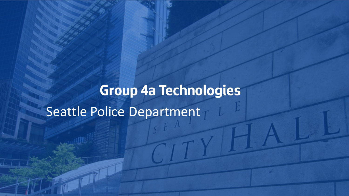## **Group 4a Technologies** Seattle Police Department

Department Name Page Number

**6/24/2021 Seattle Information Technology Slide 10**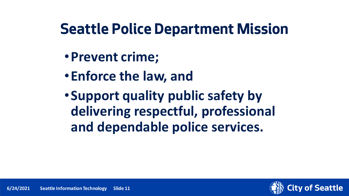### **Seattle Police Department Mission**

- •**Prevent crime;**
- •**Enforce the law, and**
- •**Support quality public safety by delivering respectful, professional and dependable police services.**

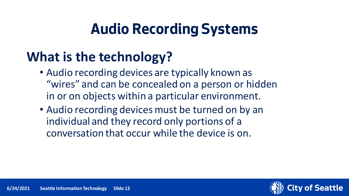#### **What is the technology?**

- Audio recording devices are typically known as "wires" and can be concealed on a person or hidden in or on objects within a particular environment.
- Audio recording devices must be turned on by an individual and they record only portions of a conversation that occur while the device is on.

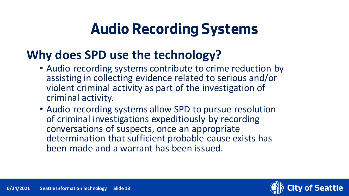#### **Why does SPD use the technology?**

- Audio recording systems contribute to crime reduction by assisting in collecting evidence related to serious and/or violent criminal activity as part of the investigation of criminal activity.
- Audio recording systems allow SPD to pursue resolution of criminal investigations expeditiously by recording conversations of suspects, once an appropriate determination that sufficient probable cause exists has been made and a warrant has been issued.

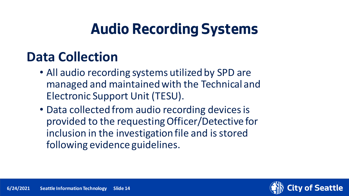#### **Data Collection**

- All audio recording systems utilized by SPD are managed and maintained with the Technical and Electronic Support Unit (TESU).
- Data collected from audio recording devices is provided to the requesting Officer/Detective for inclusion in the investigation file and is stored following evidence guidelines.

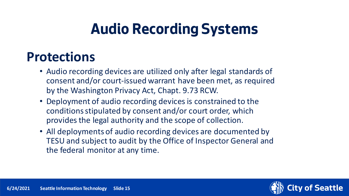#### **Protections**

- Audio recording devices are utilized only after legal standards of consent and/or court-issued warrant have been met, as required by the Washington Privacy Act, Chapt. 9.73 RCW.
- Deployment of audio recording devices is constrained to the conditions stipulated by consent and/or court order, which provides the legal authority and the scope of collection.
- All deployments of audio recording devices are documented by TESU and subject to audit by the Office of Inspector General and the federal monitor at any time.

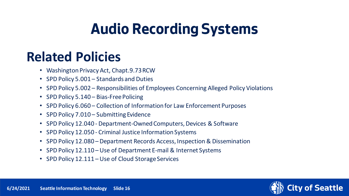#### **Related Policies**

- Washington Privacy Act, Chapt.9.73 RCW
- SPD Policy 5.001 Standards and Duties
- SPD Policy 5.002 Responsibilities of Employees Concerning Alleged Policy Violations
- SPD Policy 5.140 Bias-Free Policing
- SPD Policy 6.060 Collection of Information for Law Enforcement Purposes
- SPD Policy 7.010 Submitting Evidence
- SPD Policy 12.040 Department-Owned Computers, Devices & Software
- SPD Policy 12.050 Criminal Justice Information Systems
- SPD Policy 12.080 Department Records Access, Inspection & Dissemination
- SPD Policy 12.110 Use of Department E-mail & Internet Systems
- SPD Policy 12.111 Use of Cloud Storage Services

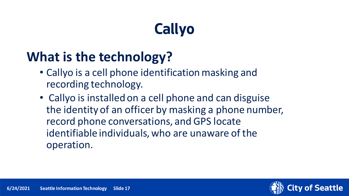### **What is the technology?**

- Callyo is a cell phone identification masking and recording technology.
- Callyo is installed on a cell phone and can disguise the identity of an officer by masking a phone number, record phone conversations, and GPS locate identifiable individuals, who are unaware of the operation.

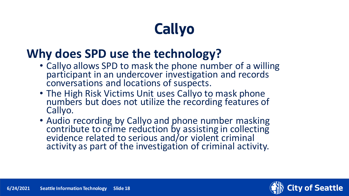#### **Why does SPD use the technology?**

- Callyo allows SPD to mask the phone number of a willing participant in an undercover investigation and records conversations and locations of suspects.
- The High Risk Victims Unit uses Callyo to mask phone numbers but does not utilize the recording features of Callyo.
- Audio recording by Callyo and phone number masking contribute to crime reduction by assisting in collecting evidence related to serious and/or violent criminal activity as part of the investigation of criminal activity.

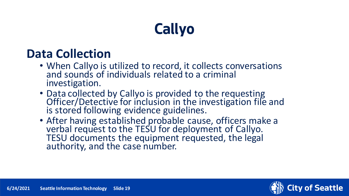#### **Data Collection**

- When Callyo is utilized to record, it collects conversations and sounds of individuals related to a criminal investigation.
- Data collected by Callyo is provided to the requesting Officer/Detective for inclusion in the investigation file and is stored following evidence guidelines.
- After having established probable cause, officers make a verbal request to the TESU for deployment of Callyo.<br>TESU documents the equipment requested, the legal authority, and the case number.

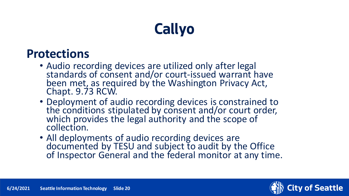#### **Protections**

- Audio recording devices are utilized only after legal standards of consent and/or court-issued warrant have been met, as required by the Washington Privacy Act, Chapt. 9.73 RCW.
- Deployment of audio recording devices is constrained to the conditions stipulated by consent and/or court order, which provides the legal authority and the scope of collection.
- All deployments of audio recording devices are documented by TESU and subject to audit by the Office of Inspector General and the federal monitor at any time.

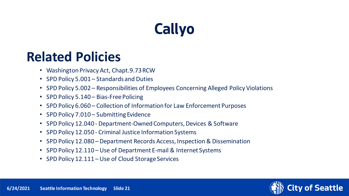#### **Related Policies**

- Washington Privacy Act, Chapt.9.73 RCW
- SPD Policy 5.001 Standards and Duties
- SPD Policy 5.002 Responsibilities of Employees Concerning Alleged Policy Violations
- SPD Policy 5.140 Bias-Free Policing
- SPD Policy 6.060 Collection of Information for Law Enforcement Purposes
- SPD Policy 7.010 Submitting Evidence
- SPD Policy 12.040 Department-Owned Computers, Devices & Software
- SPD Policy 12.050 Criminal Justice Information Systems
- SPD Policy 12.080 Department Records Access, Inspection & Dissemination
- SPD Policy 12.110 Use of Department E-mail & Internet Systems
- SPD Policy 12.111 Use of Cloud Storage Services

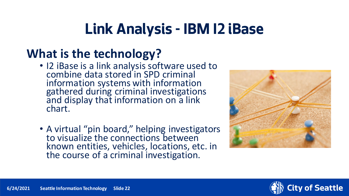#### **What is the technology?**

- I2 iBase is a link analysis software used to combine data stored in SPD criminal information systems with information gathered during criminal investigations and display that information on a link chart.
- A virtual "pin board," helping investigators to visualize the connections between known entities, vehicles, locations, etc. in the course of a criminal investigation.



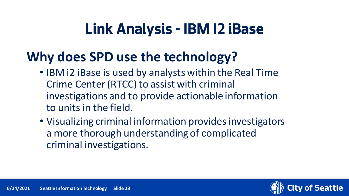#### **Why does SPD use the technology?**

- IBM i2 iBase is used by analysts within the Real Time Crime Center (RTCC) to assist with criminal investigations and to provide actionable information to units in the field.
- Visualizing criminal information provides investigators a more thorough understanding of complicated criminal investigations.

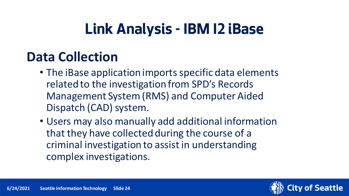#### **Data Collection**

- The iBase application imports specific data elements related to the investigation from SPD's Records Management System (RMS) and Computer Aided Dispatch (CAD) system.
- Users may also manually add additional information that they have collected during the course of a criminal investigation to assist in understanding complex investigations.

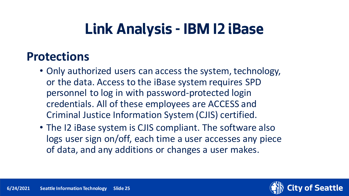#### **Protections**

- Only authorized users can access the system, technology, or the data. Access to the iBase system requires SPD personnel to log in with password-protected login credentials. All of these employees are ACCESS and Criminal Justice Information System (CJIS) certified.
- The I2 iBase system is CJIS compliant. The software also logs user sign on/off, each time a user accesses any piece of data, and any additions or changes a user makes.

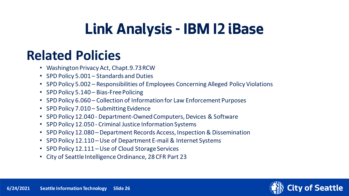#### **Related Policies**

- Washington Privacy Act, Chapt.9.73 RCW
- SPD Policy 5.001 Standards and Duties
- SPD Policy 5.002 Responsibilities of Employees Concerning Alleged Policy Violations
- SPD Policy 5.140 Bias-Free Policing
- SPD Policy 6.060 Collection of Information for Law Enforcement Purposes
- SPD Policy 7.010 Submitting Evidence
- SPD Policy 12.040 Department-Owned Computers, Devices & Software
- SPD Policy 12.050 Criminal Justice Information Systems
- SPD Policy 12.080 Department Records Access, Inspection & Dissemination
- SPD Policy 12.110 Use of Department E-mail & Internet Systems
- SPD Policy 12.111 Use of Cloud Storage Services
- City of Seattle Intelligence Ordinance, 28 CFR Part 23

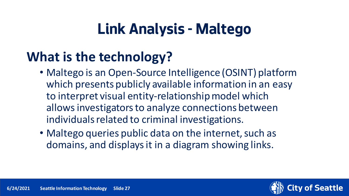### **What is the technology?**

- Maltego is an Open-Source Intelligence (OSINT) platform which presents publicly available information in an easy to interpret visual entity-relationship model which allows investigators to analyze connections between individuals related to criminal investigations.
- Maltego queries public data on the internet, such as domains, and displays it in a diagram showing links.

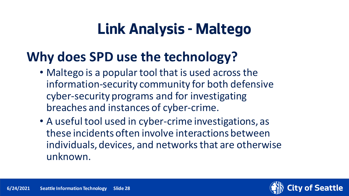#### **Why does SPD use the technology?**

- Maltego is a popular tool that is used across the information-security community for both defensive cyber-security programs and for investigating breaches and instances of cyber-crime.
- A useful tool used in cyber-crime investigations, as these incidents often involve interactions between individuals, devices, and networks that are otherwise unknown.

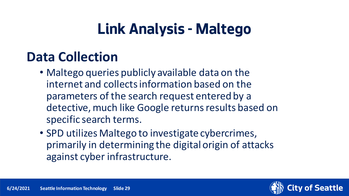#### **Data Collection**

- Maltego queries publicly available data on the internet and collects information based on the parameters of the search request entered by a detective, much like Google returns results based on specific search terms.
- SPD utilizes Maltego to investigate cybercrimes, primarily in determining the digital origin of attacks against cyber infrastructure.

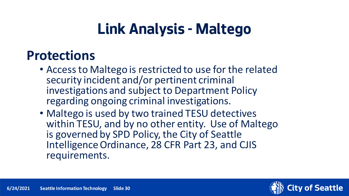#### **Protections**

- Access to Maltego is restricted to use for the related security incident and/or pertinent criminal investigations and subject to Department Policy regarding ongoing criminal investigations.
- Maltego is used by two trained TESU detectives within TESU, and by no other entity. Use of Maltego is governed by SPD Policy, the City of Seattle Intelligence Ordinance, 28 CFR Part 23, and CJIS requirements.

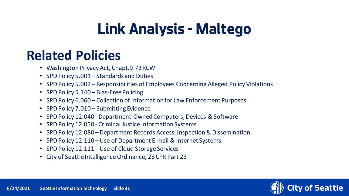#### **Related Policies**

- Washington Privacy Act, Chapt.9.73 RCW
- SPD Policy 5.001 Standards and Duties
- SPD Policy 5.002 Responsibilities of Employees Concerning Alleged Policy Violations
- SPD Policy 5.140 Bias-Free Policing
- SPD Policy 6.060 Collection of Information for Law Enforcement Purposes
- SPD Policy 7.010 Submitting Evidence
- SPD Policy 12.040 Department-Owned Computers, Devices & Software
- SPD Policy 12.050 Criminal Justice Information Systems
- SPD Policy 12.080 Department Records Access, Inspection & Dissemination
- SPD Policy 12.110 Use of Department E-mail & Internet Systems
- SPD Policy 12.111 Use of Cloud Storage Services
- City of Seattle Intelligence Ordinance, 28 CFR Part 23

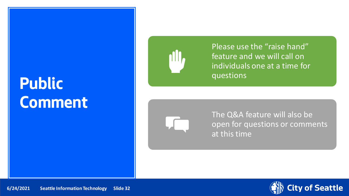## **Public Comment**



Please use the "raise hand" feature and we will call on individuals one at a time for questions



The Q&A feature will also be open for questions or comments at this time

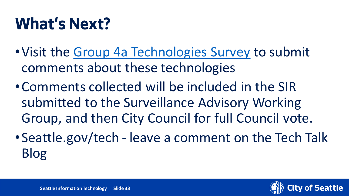## **What's Next?**

- •Visit the [Group 4a Technologies Survey](https://seattle.surveymonkey.com/r/HR2FDDD) to submit comments about these technologies
- •Comments collected will be included in the SIR submitted to the Surveillance Advisory Working Group, and then City Council for full Council vote.
- •Seattle.gov/tech leave a comment on the Tech Talk Blog